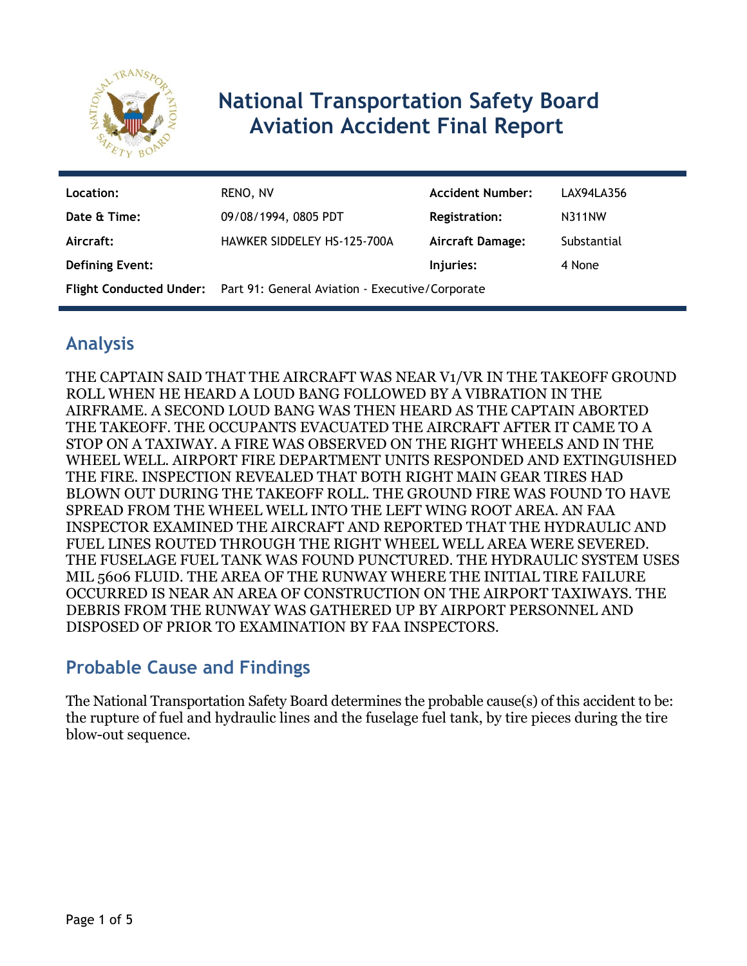

# **National Transportation Safety Board Aviation Accident Final Report**

| Location:              | RENO, NV                                                                | <b>Accident Number:</b> | LAX94LA356    |
|------------------------|-------------------------------------------------------------------------|-------------------------|---------------|
| Date & Time:           | 09/08/1994, 0805 PDT                                                    | <b>Registration:</b>    | <b>N311NW</b> |
| Aircraft:              | <b>HAWKER SIDDELEY HS-125-700A</b>                                      | <b>Aircraft Damage:</b> | Substantial   |
| <b>Defining Event:</b> |                                                                         | Injuries:               | 4 None        |
|                        | Flight Conducted Under: Part 91: General Aviation - Executive/Corporate |                         |               |

# **Analysis**

THE CAPTAIN SAID THAT THE AIRCRAFT WAS NEAR V1/VR IN THE TAKEOFF GROUND ROLL WHEN HE HEARD A LOUD BANG FOLLOWED BY A VIBRATION IN THE AIRFRAME. A SECOND LOUD BANG WAS THEN HEARD AS THE CAPTAIN ABORTED THE TAKEOFF. THE OCCUPANTS EVACUATED THE AIRCRAFT AFTER IT CAME TO A STOP ON A TAXIWAY. A FIRE WAS OBSERVED ON THE RIGHT WHEELS AND IN THE WHEEL WELL. AIRPORT FIRE DEPARTMENT UNITS RESPONDED AND EXTINGUISHED THE FIRE. INSPECTION REVEALED THAT BOTH RIGHT MAIN GEAR TIRES HAD BLOWN OUT DURING THE TAKEOFF ROLL. THE GROUND FIRE WAS FOUND TO HAVE SPREAD FROM THE WHEEL WELL INTO THE LEFT WING ROOT AREA. AN FAA INSPECTOR EXAMINED THE AIRCRAFT AND REPORTED THAT THE HYDRAULIC AND FUEL LINES ROUTED THROUGH THE RIGHT WHEEL WELL AREA WERE SEVERED. THE FUSELAGE FUEL TANK WAS FOUND PUNCTURED. THE HYDRAULIC SYSTEM USES MIL 5606 FLUID. THE AREA OF THE RUNWAY WHERE THE INITIAL TIRE FAILURE OCCURRED IS NEAR AN AREA OF CONSTRUCTION ON THE AIRPORT TAXIWAYS. THE DEBRIS FROM THE RUNWAY WAS GATHERED UP BY AIRPORT PERSONNEL AND DISPOSED OF PRIOR TO EXAMINATION BY FAA INSPECTORS.

# **Probable Cause and Findings**

The National Transportation Safety Board determines the probable cause(s) of this accident to be: the rupture of fuel and hydraulic lines and the fuselage fuel tank, by tire pieces during the tire blow-out sequence.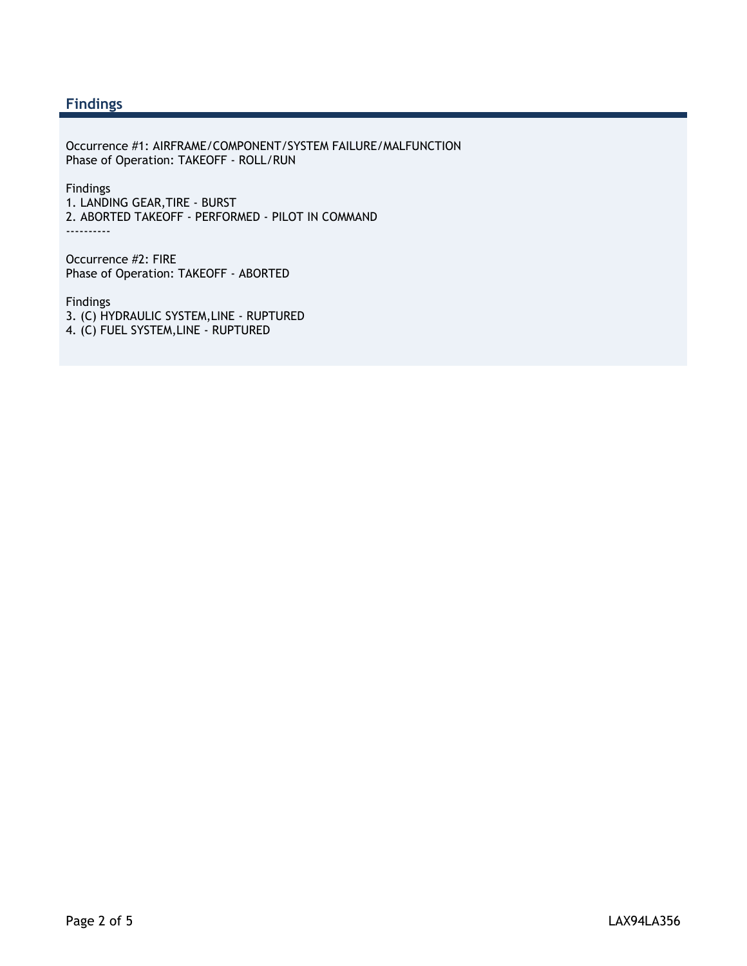### **Findings**

Occurrence #1: AIRFRAME/COMPONENT/SYSTEM FAILURE/MALFUNCTION Phase of Operation: TAKEOFF - ROLL/RUN

Findings 1. LANDING GEAR,TIRE - BURST 2. ABORTED TAKEOFF - PERFORMED - PILOT IN COMMAND ----------

Occurrence #2: FIRE Phase of Operation: TAKEOFF - ABORTED

Findings 3. (C) HYDRAULIC SYSTEM,LINE - RUPTURED 4. (C) FUEL SYSTEM,LINE - RUPTURED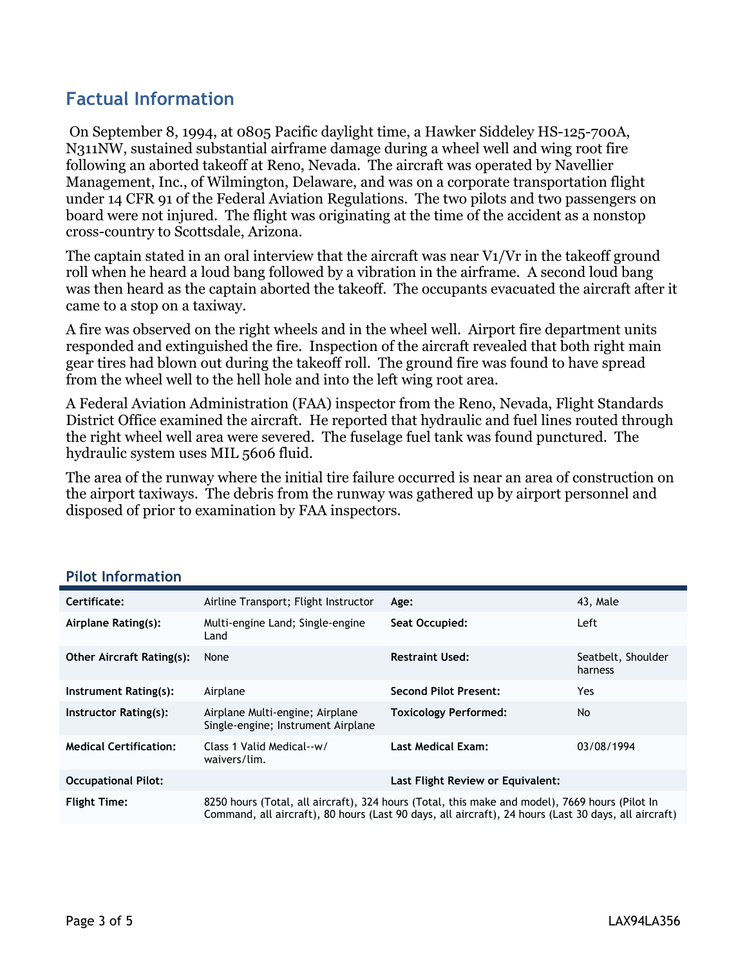# **Factual Information**

 On September 8, 1994, at 0805 Pacific daylight time, a Hawker Siddeley HS-125-700A, N311NW, sustained substantial airframe damage during a wheel well and wing root fire following an aborted takeoff at Reno, Nevada. The aircraft was operated by Navellier Management, Inc., of Wilmington, Delaware, and was on a corporate transportation flight under 14 CFR 91 of the Federal Aviation Regulations. The two pilots and two passengers on board were not injured. The flight was originating at the time of the accident as a nonstop cross-country to Scottsdale, Arizona.

The captain stated in an oral interview that the aircraft was near V1/Vr in the takeoff ground roll when he heard a loud bang followed by a vibration in the airframe. A second loud bang was then heard as the captain aborted the takeoff. The occupants evacuated the aircraft after it came to a stop on a taxiway.

A fire was observed on the right wheels and in the wheel well. Airport fire department units responded and extinguished the fire. Inspection of the aircraft revealed that both right main gear tires had blown out during the takeoff roll. The ground fire was found to have spread from the wheel well to the hell hole and into the left wing root area.

A Federal Aviation Administration (FAA) inspector from the Reno, Nevada, Flight Standards District Office examined the aircraft. He reported that hydraulic and fuel lines routed through the right wheel well area were severed. The fuselage fuel tank was found punctured. The hydraulic system uses MIL 5606 fluid.

The area of the runway where the initial tire failure occurred is near an area of construction on the airport taxiways. The debris from the runway was gathered up by airport personnel and disposed of prior to examination by FAA inspectors.

| Certificate:                     | Airline Transport; Flight Instructor                                                                                                                                                                   | Age:                              | 43. Male                      |
|----------------------------------|--------------------------------------------------------------------------------------------------------------------------------------------------------------------------------------------------------|-----------------------------------|-------------------------------|
| Airplane Rating(s):              | Multi-engine Land; Single-engine<br>Land                                                                                                                                                               | Seat Occupied:                    | Left                          |
| <b>Other Aircraft Rating(s):</b> | None                                                                                                                                                                                                   | <b>Restraint Used:</b>            | Seatbelt, Shoulder<br>harness |
| Instrument Rating(s):            | Airplane                                                                                                                                                                                               | <b>Second Pilot Present:</b>      | Yes.                          |
| Instructor Rating(s):            | Airplane Multi-engine; Airplane<br>Single-engine; Instrument Airplane                                                                                                                                  | <b>Toxicology Performed:</b>      | No.                           |
| <b>Medical Certification:</b>    | Class 1 Valid Medical--w/<br>waivers/lim.                                                                                                                                                              | <b>Last Medical Exam:</b>         | 03/08/1994                    |
| <b>Occupational Pilot:</b>       |                                                                                                                                                                                                        | Last Flight Review or Equivalent: |                               |
| <b>Flight Time:</b>              | 8250 hours (Total, all aircraft), 324 hours (Total, this make and model), 7669 hours (Pilot In<br>Command, all aircraft), 80 hours (Last 90 days, all aircraft), 24 hours (Last 30 days, all aircraft) |                                   |                               |

#### **Pilot Information**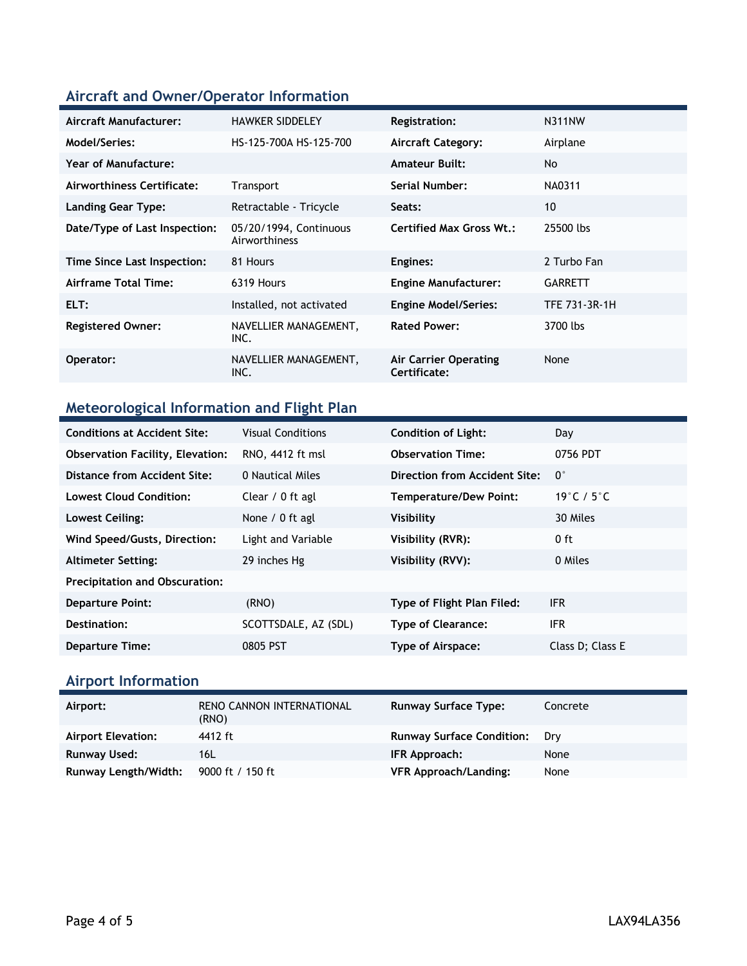## **Aircraft and Owner/Operator Information**

| Aircraft Manufacturer:        | <b>HAWKER SIDDELEY</b>                  | <b>Registration:</b>                  | <b>N311NW</b>  |
|-------------------------------|-----------------------------------------|---------------------------------------|----------------|
| Model/Series:                 | HS-125-700A HS-125-700                  | <b>Aircraft Category:</b>             | Airplane       |
| Year of Manufacture:          |                                         | <b>Amateur Built:</b>                 | <b>No</b>      |
| Airworthiness Certificate:    | <b>Transport</b>                        | Serial Number:                        | NA0311         |
| <b>Landing Gear Type:</b>     | Retractable - Tricycle                  | Seats:                                | 10             |
| Date/Type of Last Inspection: | 05/20/1994, Continuous<br>Airworthiness | <b>Certified Max Gross Wt.:</b>       | 25500 lbs      |
| Time Since Last Inspection:   | 81 Hours                                | Engines:                              | 2 Turbo Fan    |
| Airframe Total Time:          | 6319 Hours                              | <b>Engine Manufacturer:</b>           | <b>GARRETT</b> |
| ELT:                          | Installed, not activated                | <b>Engine Model/Series:</b>           | TFE 731-3R-1H  |
| <b>Registered Owner:</b>      | NAVELLIER MANAGEMENT,<br>INC.           | <b>Rated Power:</b>                   | 3700 lbs       |
| Operator:                     | NAVELLIER MANAGEMENT,<br>INC.           | Air Carrier Operating<br>Certificate: | None           |
|                               |                                         |                                       |                |

## **Meteorological Information and Flight Plan**

| <b>Conditions at Accident Site:</b>     | <b>Visual Conditions</b> | <b>Condition of Light:</b>    | Day                            |
|-----------------------------------------|--------------------------|-------------------------------|--------------------------------|
| <b>Observation Facility, Elevation:</b> | RNO, 4412 ft msl         | <b>Observation Time:</b>      | 0756 PDT                       |
| Distance from Accident Site:            | 0 Nautical Miles         | Direction from Accident Site: | $0^{\circ}$                    |
| <b>Lowest Cloud Condition:</b>          | Clear / 0 ft agl         | <b>Temperature/Dew Point:</b> | 19 $\degree$ C / 5 $\degree$ C |
| Lowest Ceiling:                         | None / 0 ft agl          | Visibility                    | 30 Miles                       |
| Wind Speed/Gusts, Direction:            | Light and Variable       | Visibility (RVR):             | 0 ft                           |
| <b>Altimeter Setting:</b>               | 29 inches Hg             | Visibility (RVV):             | 0 Miles                        |
| <b>Precipitation and Obscuration:</b>   |                          |                               |                                |
| <b>Departure Point:</b>                 | (RNO)                    | Type of Flight Plan Filed:    | <b>IFR</b>                     |
| Destination:                            | SCOTTSDALE, AZ (SDL)     | <b>Type of Clearance:</b>     | <b>IFR</b>                     |
| <b>Departure Time:</b>                  | 0805 PST                 | Type of Airspace:             | Class D; Class E               |

## **Airport Information**

| Airport:                  | RENO CANNON INTERNATIONAL | <b>Runway Surface Type:</b>      | Concrete |
|---------------------------|---------------------------|----------------------------------|----------|
| <b>Airport Elevation:</b> | (RNO)<br>4412 ft          | <b>Runway Surface Condition:</b> | Drv      |
| <b>Runway Used:</b>       | 16L                       | IFR Approach:                    | None     |
| Runway Length/Width:      | 9000 ft / 150 ft          | <b>VFR Approach/Landing:</b>     | None     |